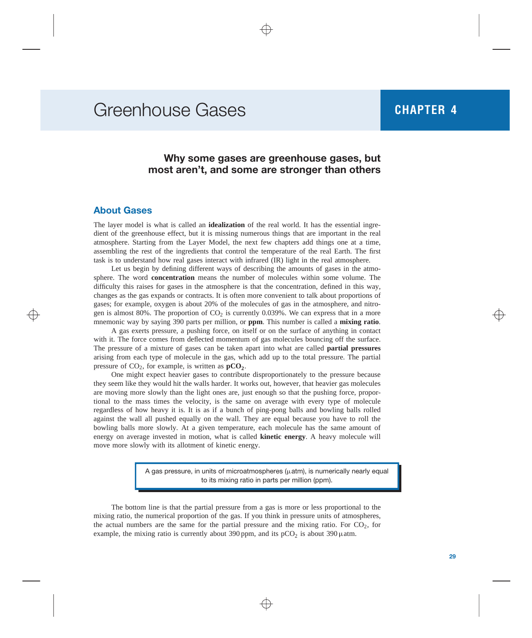# Greenhouse Gases **CHAPTER 4**

## **Why some gases are greenhouse gases, but most aren't, and some are stronger than others**

#### **About Gases**

The layer model is what is called an **idealization** of the real world. It has the essential ingredient of the greenhouse effect, but it is missing numerous things that are important in the real atmosphere. Starting from the Layer Model, the next few chapters add things one at a time, assembling the rest of the ingredients that control the temperature of the real Earth. The first task is to understand how real gases interact with infrared (IR) light in the real atmosphere.

Let us begin by defining different ways of describing the amounts of gases in the atmosphere. The word **concentration** means the number of molecules within some volume. The difficulty this raises for gases in the atmosphere is that the concentration, defined in this way, changes as the gas expands or contracts. It is often more convenient to talk about proportions of gases; for example, oxygen is about 20% of the molecules of gas in the atmosphere, and nitrogen is almost 80%. The proportion of  $CO<sub>2</sub>$  is currently 0.039%. We can express that in a more mnemonic way by saying 390 parts per million, or **ppm**. This number is called a **mixing ratio**.

A gas exerts pressure, a pushing force, on itself or on the surface of anything in contact with it. The force comes from deflected momentum of gas molecules bouncing off the surface. The pressure of a mixture of gases can be taken apart into what are called **partial pressures** arising from each type of molecule in the gas, which add up to the total pressure. The partial pressure of  $CO<sub>2</sub>$ , for example, is written as  $pCO<sub>2</sub>$ .

One might expect heavier gases to contribute disproportionately to the pressure because they seem like they would hit the walls harder. It works out, however, that heavier gas molecules are moving more slowly than the light ones are, just enough so that the pushing force, proportional to the mass times the velocity, is the same on average with every type of molecule regardless of how heavy it is. It is as if a bunch of ping-pong balls and bowling balls rolled against the wall all pushed equally on the wall. They are equal because you have to roll the bowling balls more slowly. At a given temperature, each molecule has the same amount of energy on average invested in motion, what is called **kinetic energy**. A heavy molecule will move more slowly with its allotment of kinetic energy.

> A gas pressure, in units of microatmospheres  $(\mu atm)$ , is numerically nearly equal to its mixing ratio in parts per million (ppm).

The bottom line is that the partial pressure from a gas is more or less proportional to the mixing ratio, the numerical proportion of the gas. If you think in pressure units of atmospheres, the actual numbers are the same for the partial pressure and the mixing ratio. For  $CO<sub>2</sub>$ , for example, the mixing ratio is currently about 390 ppm, and its  $pCO<sub>2</sub>$  is about 390  $\mu$ atm.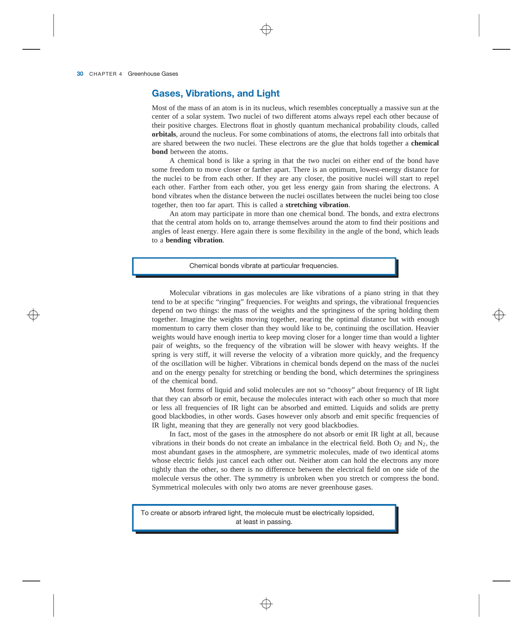### **Gases, Vibrations, and Light**

Most of the mass of an atom is in its nucleus, which resembles conceptually a massive sun at the center of a solar system. Two nuclei of two different atoms always repel each other because of their positive charges. Electrons float in ghostly quantum mechanical probability clouds, called **orbitals**, around the nucleus. For some combinations of atoms, the electrons fall into orbitals that are shared between the two nuclei. These electrons are the glue that holds together a **chemical bond** between the atoms.

A chemical bond is like a spring in that the two nuclei on either end of the bond have some freedom to move closer or farther apart. There is an optimum, lowest-energy distance for the nuclei to be from each other. If they are any closer, the positive nuclei will start to repel each other. Farther from each other, you get less energy gain from sharing the electrons. A bond vibrates when the distance between the nuclei oscillates between the nuclei being too close together, then too far apart. This is called a **stretching vibration**.

An atom may participate in more than one chemical bond. The bonds, and extra electrons that the central atom holds on to, arrange themselves around the atom to find their positions and angles of least energy. Here again there is some flexibility in the angle of the bond, which leads to a **bending vibration**.

Chemical bonds vibrate at particular frequencies.

Molecular vibrations in gas molecules are like vibrations of a piano string in that they tend to be at specific "ringing" frequencies. For weights and springs, the vibrational frequencies depend on two things: the mass of the weights and the springiness of the spring holding them together. Imagine the weights moving together, nearing the optimal distance but with enough momentum to carry them closer than they would like to be, continuing the oscillation. Heavier weights would have enough inertia to keep moving closer for a longer time than would a lighter pair of weights, so the frequency of the vibration will be slower with heavy weights. If the spring is very stiff, it will reverse the velocity of a vibration more quickly, and the frequency of the oscillation will be higher. Vibrations in chemical bonds depend on the mass of the nuclei and on the energy penalty for stretching or bending the bond, which determines the springiness of the chemical bond.

Most forms of liquid and solid molecules are not so "choosy" about frequency of IR light that they can absorb or emit, because the molecules interact with each other so much that more or less all frequencies of IR light can be absorbed and emitted. Liquids and solids are pretty good blackbodies, in other words. Gases however only absorb and emit specific frequencies of IR light, meaning that they are generally not very good blackbodies.

In fact, most of the gases in the atmosphere do not absorb or emit IR light at all, because vibrations in their bonds do not create an imbalance in the electrical field. Both  $O_2$  and  $N_2$ , the most abundant gases in the atmosphere, are symmetric molecules, made of two identical atoms whose electric fields just cancel each other out. Neither atom can hold the electrons any more tightly than the other, so there is no difference between the electrical field on one side of the molecule versus the other. The symmetry is unbroken when you stretch or compress the bond. Symmetrical molecules with only two atoms are never greenhouse gases.

To create or absorb infrared light, the molecule must be electrically lopsided, at least in passing.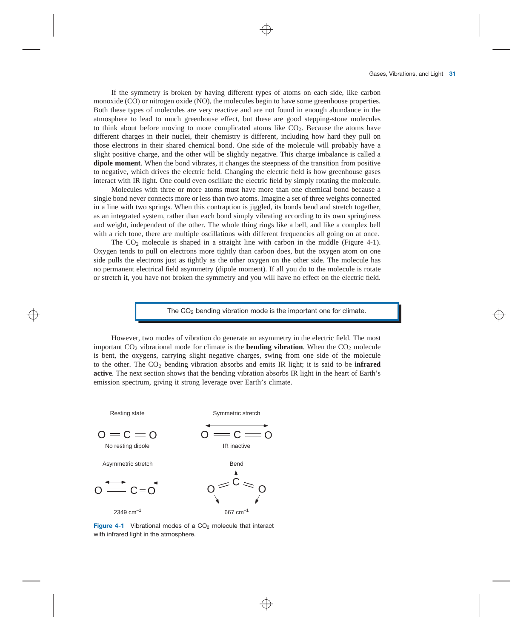If the symmetry is broken by having different types of atoms on each side, like carbon monoxide (CO) or nitrogen oxide (NO), the molecules begin to have some greenhouse properties. Both these types of molecules are very reactive and are not found in enough abundance in the atmosphere to lead to much greenhouse effect, but these are good stepping-stone molecules to think about before moving to more complicated atoms like  $CO<sub>2</sub>$ . Because the atoms have different charges in their nuclei, their chemistry is different, including how hard they pull on those electrons in their shared chemical bond. One side of the molecule will probably have a slight positive charge, and the other will be slightly negative. This charge imbalance is called a **dipole moment**. When the bond vibrates, it changes the steepness of the transition from positive to negative, which drives the electric field. Changing the electric field is how greenhouse gases interact with IR light. One could even oscillate the electric field by simply rotating the molecule.

Molecules with three or more atoms must have more than one chemical bond because a single bond never connects more or less than two atoms. Imagine a set of three weights connected in a line with two springs. When this contraption is jiggled, its bonds bend and stretch together, as an integrated system, rather than each bond simply vibrating according to its own springiness and weight, independent of the other. The whole thing rings like a bell, and like a complex bell with a rich tone, there are multiple oscillations with different frequencies all going on at once.

The  $CO<sub>2</sub>$  molecule is shaped in a straight line with carbon in the middle (Figure 4-1). Oxygen tends to pull on electrons more tightly than carbon does, but the oxygen atom on one side pulls the electrons just as tightly as the other oxygen on the other side. The molecule has no permanent electrical field asymmetry (dipole moment). If all you do to the molecule is rotate or stretch it, you have not broken the symmetry and you will have no effect on the electric field.

The CO<sub>2</sub> bending vibration mode is the important one for climate.

However, two modes of vibration do generate an asymmetry in the electric field. The most important  $CO<sub>2</sub>$  vibrational mode for climate is the **bending vibration**. When the  $CO<sub>2</sub>$  molecule is bent, the oxygens, carrying slight negative charges, swing from one side of the molecule to the other. The CO2 bending vibration absorbs and emits IR light; it is said to be **infrared active**. The next section shows that the bending vibration absorbs IR light in the heart of Earth's emission spectrum, giving it strong leverage over Earth's climate.

Resting state

Symmetric stretch



Asymmetric stretch Bend

$$
0 \stackrel{\overbrace{\text{def}}}{=} c = 0 \qquad 0 \leq C \leq 0
$$

 $O \equiv C \equiv O$ 



C



**Figure 4-1** Vibrational modes of a CO<sub>2</sub> molecule that interact with infrared light in the atmosphere.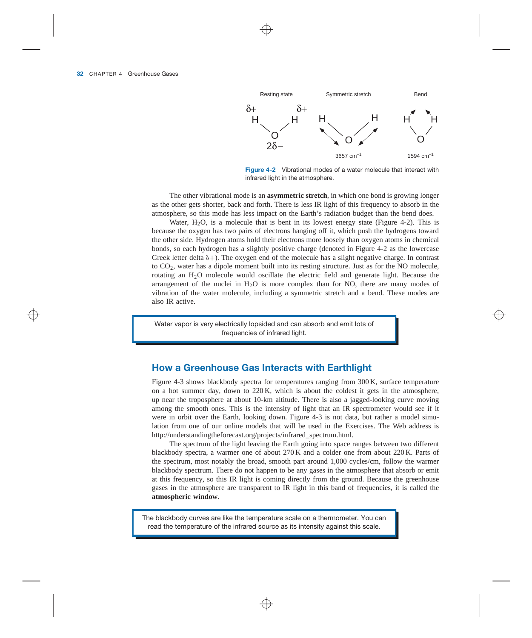

**Figure 4-2** Vibrational modes of a water molecule that interact with infrared light in the atmosphere.

The other vibrational mode is an **asymmetric stretch**, in which one bond is growing longer as the other gets shorter, back and forth. There is less IR light of this frequency to absorb in the atmosphere, so this mode has less impact on the Earth's radiation budget than the bend does.

Water,  $H_2O$ , is a molecule that is bent in its lowest energy state (Figure 4-2). This is because the oxygen has two pairs of electrons hanging off it, which push the hydrogens toward the other side. Hydrogen atoms hold their electrons more loosely than oxygen atoms in chemical bonds, so each hydrogen has a slightly positive charge (denoted in Figure 4-2 as the lowercase Greek letter delta  $\delta$ +). The oxygen end of the molecule has a slight negative charge. In contrast to CO2, water has a dipole moment built into its resting structure. Just as for the NO molecule, rotating an H2O molecule would oscillate the electric field and generate light. Because the arrangement of the nuclei in  $H_2O$  is more complex than for NO, there are many modes of vibration of the water molecule, including a symmetric stretch and a bend. These modes are also IR active.

Water vapor is very electrically lopsided and can absorb and emit lots of frequencies of infrared light.

#### **How a Greenhouse Gas Interacts with Earthlight**

Figure 4-3 shows blackbody spectra for temperatures ranging from 300 K, surface temperature on a hot summer day, down to 220 K, which is about the coldest it gets in the atmosphere, up near the troposphere at about 10-km altitude. There is also a jagged-looking curve moving among the smooth ones. This is the intensity of light that an IR spectrometer would see if it were in orbit over the Earth, looking down. Figure 4-3 is not data, but rather a model simulation from one of our online models that will be used in the Exercises. The Web address is http://understandingtheforecast.org/projects/infrared\_spectrum.html.

The spectrum of the light leaving the Earth going into space ranges between two different blackbody spectra, a warmer one of about 270 K and a colder one from about 220 K. Parts of the spectrum, most notably the broad, smooth part around 1,000 cycles/cm, follow the warmer blackbody spectrum. There do not happen to be any gases in the atmosphere that absorb or emit at this frequency, so this IR light is coming directly from the ground. Because the greenhouse gases in the atmosphere are transparent to IR light in this band of frequencies, it is called the **atmospheric window**.

The blackbody curves are like the temperature scale on a thermometer. You can read the temperature of the infrared source as its intensity against this scale.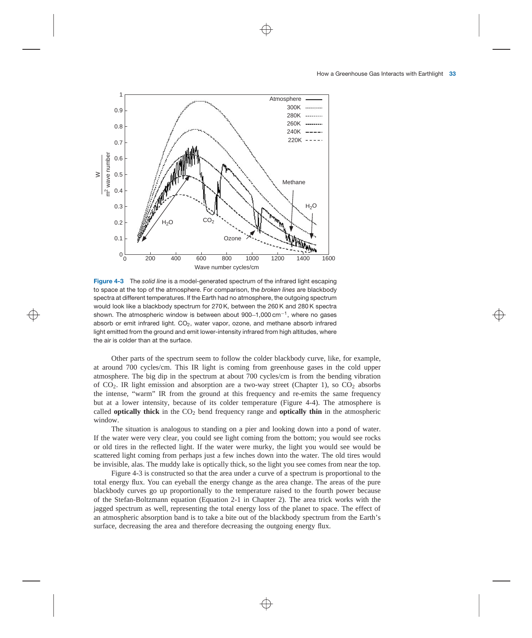

**Figure 4-3** The *solid line* is a model-generated spectrum of the infrared light escaping to space at the top of the atmosphere. For comparison, the *broken lines* are blackbody spectra at different temperatures. If the Earth had no atmosphere, the outgoing spectrum would look like a blackbody spectrum for 270 K, between the 260 K and 280 K spectra shown. The atmospheric window is between about 900−1,000 cm<sup>-1</sup>, where no gases absorb or emit infrared light.  $CO<sub>2</sub>$ , water vapor, ozone, and methane absorb infrared light emitted from the ground and emit lower-intensity infrared from high altitudes, where the air is colder than at the surface.

Other parts of the spectrum seem to follow the colder blackbody curve, like, for example, at around 700 cycles/cm. This IR light is coming from greenhouse gases in the cold upper atmosphere. The big dip in the spectrum at about 700 cycles/cm is from the bending vibration of  $CO<sub>2</sub>$ . IR light emission and absorption are a two-way street (Chapter 1), so  $CO<sub>2</sub>$  absorbs the intense, "warm" IR from the ground at this frequency and re-emits the same frequency but at a lower intensity, because of its colder temperature (Figure 4-4). The atmosphere is called **optically thick** in the CO<sub>2</sub> bend frequency range and **optically thin** in the atmospheric window.

The situation is analogous to standing on a pier and looking down into a pond of water. If the water were very clear, you could see light coming from the bottom; you would see rocks or old tires in the reflected light. If the water were murky, the light you would see would be scattered light coming from perhaps just a few inches down into the water. The old tires would be invisible, alas. The muddy lake is optically thick, so the light you see comes from near the top.

Figure 4-3 is constructed so that the area under a curve of a spectrum is proportional to the total energy flux. You can eyeball the energy change as the area change. The areas of the pure blackbody curves go up proportionally to the temperature raised to the fourth power because of the Stefan-Boltzmann equation (Equation 2-1 in Chapter 2). The area trick works with the jagged spectrum as well, representing the total energy loss of the planet to space. The effect of an atmospheric absorption band is to take a bite out of the blackbody spectrum from the Earth's surface, decreasing the area and therefore decreasing the outgoing energy flux.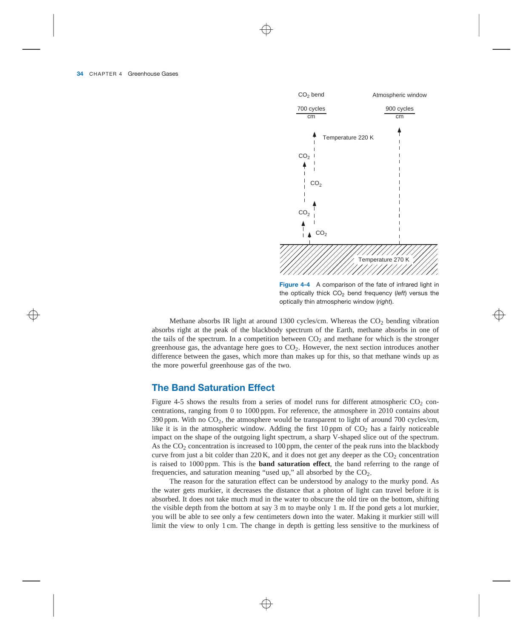

**Figure 4-4** A comparison of the fate of infrared light in the optically thick CO<sub>2</sub> bend frequency (left) versus the optically thin atmospheric window (*right*).

Methane absorbs IR light at around 1300 cycles/cm. Whereas the  $CO<sub>2</sub>$  bending vibration absorbs right at the peak of the blackbody spectrum of the Earth, methane absorbs in one of the tails of the spectrum. In a competition between  $CO<sub>2</sub>$  and methane for which is the stronger greenhouse gas, the advantage here goes to  $CO<sub>2</sub>$ . However, the next section introduces another difference between the gases, which more than makes up for this, so that methane winds up as the more powerful greenhouse gas of the two.

#### **The Band Saturation Effect**

Figure 4-5 shows the results from a series of model runs for different atmospheric  $CO_2$  concentrations, ranging from 0 to 1000 ppm. For reference, the atmosphere in 2010 contains about 390 ppm. With no  $CO<sub>2</sub>$ , the atmosphere would be transparent to light of around 700 cycles/cm, like it is in the atmospheric window. Adding the first 10 ppm of  $CO<sub>2</sub>$  has a fairly noticeable impact on the shape of the outgoing light spectrum, a sharp V-shaped slice out of the spectrum. As the  $CO<sub>2</sub>$  concentration is increased to 100 ppm, the center of the peak runs into the blackbody curve from just a bit colder than  $220$  K, and it does not get any deeper as the  $CO<sub>2</sub>$  concentration is raised to 1000 ppm. This is the **band saturation effect**, the band referring to the range of frequencies, and saturation meaning "used up," all absorbed by the  $CO<sub>2</sub>$ .

The reason for the saturation effect can be understood by analogy to the murky pond. As the water gets murkier, it decreases the distance that a photon of light can travel before it is absorbed. It does not take much mud in the water to obscure the old tire on the bottom, shifting the visible depth from the bottom at say 3 m to maybe only 1 m. If the pond gets a lot murkier, you will be able to see only a few centimeters down into the water. Making it murkier still will limit the view to only 1 cm. The change in depth is getting less sensitive to the murkiness of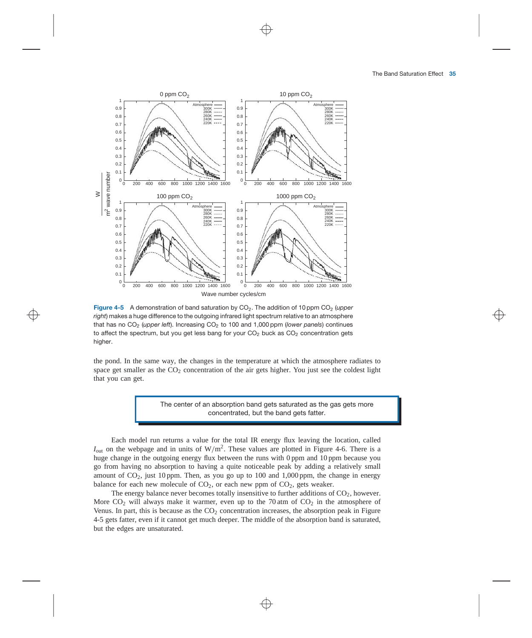

Figure 4-5 A demonstration of band saturation by CO<sub>2</sub>. The addition of 10 ppm CO<sub>2</sub> (upper *right*) makes a huge difference to the outgoing infrared light spectrum relative to an atmosphere that has no CO2 (*upper left*). Increasing CO2 to 100 and 1,000 ppm (*lower panels*) continues to affect the spectrum, but you get less bang for your  $CO<sub>2</sub>$  buck as  $CO<sub>2</sub>$  concentration gets higher.

the pond. In the same way, the changes in the temperature at which the atmosphere radiates to space get smaller as the  $CO<sub>2</sub>$  concentration of the air gets higher. You just see the coldest light that you can get.

> The center of an absorption band gets saturated as the gas gets more concentrated, but the band gets fatter.

Each model run returns a value for the total IR energy flux leaving the location, called *I*out on the webpage and in units of W*/*m2. These values are plotted in Figure 4-6. There is a huge change in the outgoing energy flux between the runs with 0 ppm and 10 ppm because you go from having no absorption to having a quite noticeable peak by adding a relatively small amount of  $CO<sub>2</sub>$ , just 10 ppm. Then, as you go up to 100 and 1,000 ppm, the change in energy balance for each new molecule of  $CO<sub>2</sub>$ , or each new ppm of  $CO<sub>2</sub>$ , gets weaker.

The energy balance never becomes totally insensitive to further additions of  $CO<sub>2</sub>$ , however. More  $CO<sub>2</sub>$  will always make it warmer, even up to the 70 atm of  $CO<sub>2</sub>$  in the atmosphere of Venus. In part, this is because as the  $CO<sub>2</sub>$  concentration increases, the absorption peak in Figure 4-5 gets fatter, even if it cannot get much deeper. The middle of the absorption band is saturated, but the edges are unsaturated.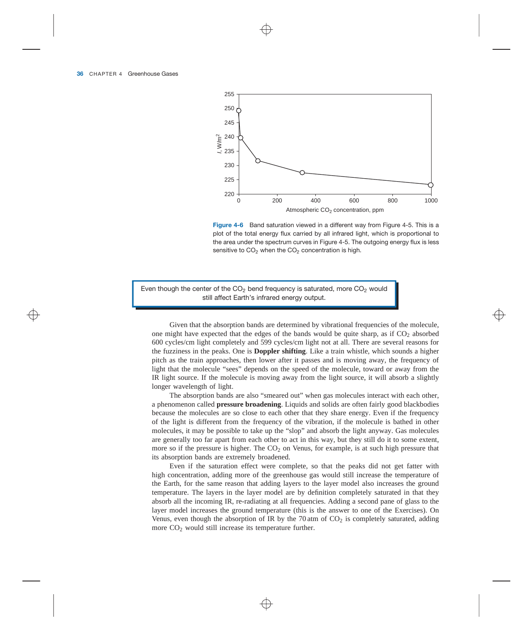

**Figure 4-6** Band saturation viewed in a different way from Figure 4-5. This is a plot of the total energy flux carried by all infrared light, which is proportional to the area under the spectrum curves in Figure 4-5. The outgoing energy flux is less sensitive to  $CO<sub>2</sub>$  when the  $CO<sub>2</sub>$  concentration is high.

Even though the center of the  $CO<sub>2</sub>$  bend frequency is saturated, more  $CO<sub>2</sub>$  would still affect Earth's infrared energy output.

Given that the absorption bands are determined by vibrational frequencies of the molecule, one might have expected that the edges of the bands would be quite sharp, as if  $CO<sub>2</sub>$  absorbed 600 cycles/cm light completely and 599 cycles/cm light not at all. There are several reasons for the fuzziness in the peaks. One is **Doppler shifting**. Like a train whistle, which sounds a higher pitch as the train approaches, then lower after it passes and is moving away, the frequency of light that the molecule "sees" depends on the speed of the molecule, toward or away from the IR light source. If the molecule is moving away from the light source, it will absorb a slightly longer wavelength of light.

The absorption bands are also "smeared out" when gas molecules interact with each other, a phenomenon called **pressure broadening**. Liquids and solids are often fairly good blackbodies because the molecules are so close to each other that they share energy. Even if the frequency of the light is different from the frequency of the vibration, if the molecule is bathed in other molecules, it may be possible to take up the "slop" and absorb the light anyway. Gas molecules are generally too far apart from each other to act in this way, but they still do it to some extent, more so if the pressure is higher. The  $CO<sub>2</sub>$  on Venus, for example, is at such high pressure that its absorption bands are extremely broadened.

Even if the saturation effect were complete, so that the peaks did not get fatter with high concentration, adding more of the greenhouse gas would still increase the temperature of the Earth, for the same reason that adding layers to the layer model also increases the ground temperature. The layers in the layer model are by definition completely saturated in that they absorb all the incoming IR, re-radiating at all frequencies. Adding a second pane of glass to the layer model increases the ground temperature (this is the answer to one of the Exercises). On Venus, even though the absorption of IR by the 70 atm of  $CO<sub>2</sub>$  is completely saturated, adding more  $CO<sub>2</sub>$  would still increase its temperature further.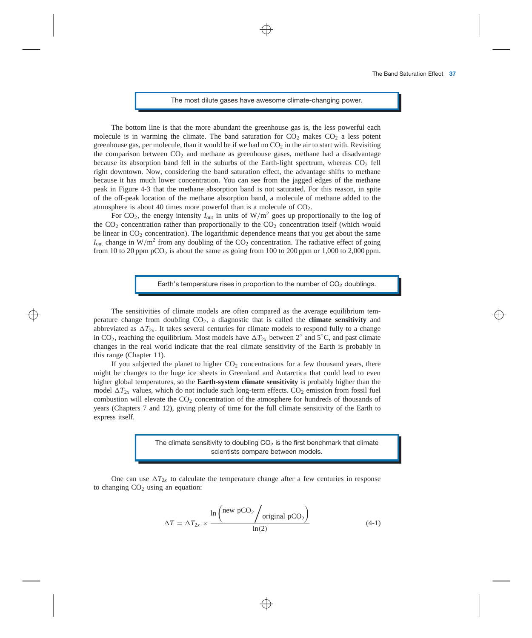The most dilute gases have awesome climate-changing power.

The bottom line is that the more abundant the greenhouse gas is, the less powerful each molecule is in warming the climate. The band saturation for  $CO<sub>2</sub>$  makes  $CO<sub>2</sub>$  a less potent greenhouse gas, per molecule, than it would be if we had no  $CO<sub>2</sub>$  in the air to start with. Revisiting the comparison between  $CO<sub>2</sub>$  and methane as greenhouse gases, methane had a disadvantage because its absorption band fell in the suburbs of the Earth-light spectrum, whereas  $CO<sub>2</sub>$  fell right downtown. Now, considering the band saturation effect, the advantage shifts to methane because it has much lower concentration. You can see from the jagged edges of the methane peak in Figure 4-3 that the methane absorption band is not saturated. For this reason, in spite of the off-peak location of the methane absorption band, a molecule of methane added to the atmosphere is about 40 times more powerful than is a molecule of  $CO<sub>2</sub>$ .

For CO<sub>2</sub>, the energy intensity  $I_{\text{out}}$  in units of W/m<sup>2</sup> goes up proportionally to the log of the  $CO<sub>2</sub>$  concentration rather than proportionally to the  $CO<sub>2</sub>$  concentration itself (which would be linear in  $CO<sub>2</sub>$  concentration). The logarithmic dependence means that you get about the same  $I_{\text{out}}$  change in W/m<sup>2</sup> from any doubling of the CO<sub>2</sub> concentration. The radiative effect of going from 10 to 20 ppm  $pCO<sub>2</sub>$  is about the same as going from 100 to 200 ppm or 1,000 to 2,000 ppm.

Earth's temperature rises in proportion to the number of  $CO<sub>2</sub>$  doublings.

The sensitivities of climate models are often compared as the average equilibrium temperature change from doubling  $CO<sub>2</sub>$ , a diagnostic that is called the **climate sensitivity** and abbreviated as  $\Delta T_{2x}$ . It takes several centuries for climate models to respond fully to a change in CO<sub>2</sub>, reaching the equilibrium. Most models have  $\Delta T_{2x}$  between 2° and 5°C, and past climate changes in the real world indicate that the real climate sensitivity of the Earth is probably in this range (Chapter 11).

If you subjected the planet to higher  $CO<sub>2</sub>$  concentrations for a few thousand years, there might be changes to the huge ice sheets in Greenland and Antarctica that could lead to even higher global temperatures, so the **Earth-system climate sensitivity** is probably higher than the model  $\Delta T_{2x}$  values, which do not include such long-term effects.  $CO_2$  emission from fossil fuel combustion will elevate the  $CO<sub>2</sub>$  concentration of the atmosphere for hundreds of thousands of years (Chapters 7 and 12), giving plenty of time for the full climate sensitivity of the Earth to express itself.

> The climate sensitivity to doubling  $CO<sub>2</sub>$  is the first benchmark that climate scientists compare between models.

One can use  $\Delta T_{2x}$  to calculate the temperature change after a few centuries in response to changing  $CO<sub>2</sub>$  using an equation:

$$
\Delta T = \Delta T_{2x} \times \frac{\ln\left(\text{new } \text{pCO}_2\right)}{\ln(2)} \tag{4-1}
$$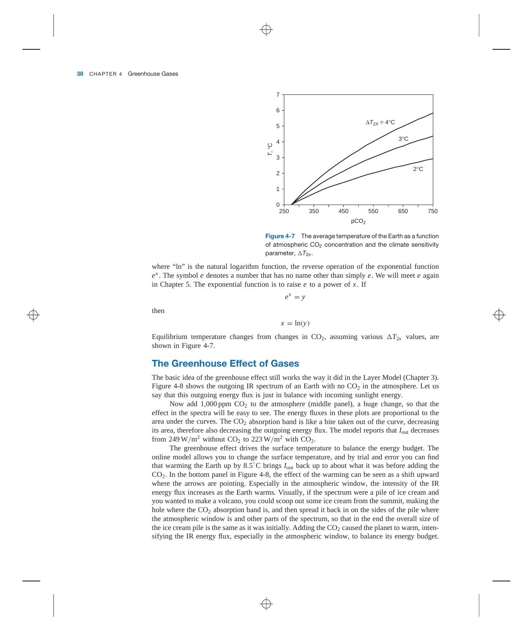

**Figure 4-7** The average temperature of the Earth as a function of atmospheric  $CO<sub>2</sub>$  concentration and the climate sensitivity parameter,  $\Delta T_{2x}$ .

where "ln" is the natural logarithm function, the reverse operation of the exponential function  $e^x$ . The symbol *e* denotes a number that has no name other than simply *e*. We will meet *e* again in Chapter 5. The exponential function is to raise *e* to a power of *x*. If

 $e^x = v$ 

then

$$
x = \ln(y)
$$

Equilibrium temperature changes from changes in CO<sub>2</sub>, assuming various  $\Delta T_{2x}$  values, are shown in Figure 4-7.

#### **The Greenhouse Effect of Gases**

The basic idea of the greenhouse effect still works the way it did in the Layer Model (Chapter 3). Figure 4-8 shows the outgoing IR spectrum of an Earth with no  $CO<sub>2</sub>$  in the atmosphere. Let us say that this outgoing energy flux is just in balance with incoming sunlight energy.

Now add 1,000 ppm  $CO<sub>2</sub>$  to the atmosphere (middle panel), a huge change, so that the effect in the spectra will be easy to see. The energy fluxes in these plots are proportional to the area under the curves. The  $CO<sub>2</sub>$  absorption band is like a bite taken out of the curve, decreasing its area, therefore also decreasing the outgoing energy flux. The model reports that *I*out decreases from 249 W/m<sup>2</sup> without  $CO_2$  to 223 W/m<sup>2</sup> with  $CO_2$ .

The greenhouse effect drives the surface temperature to balance the energy budget. The online model allows you to change the surface temperature, and by trial and error you can find that warming the Earth up by 8*.*5◦ C brings *I*out back up to about what it was before adding the  $CO<sub>2</sub>$ . In the bottom panel in Figure 4-8, the effect of the warming can be seen as a shift upward where the arrows are pointing. Especially in the atmospheric window, the intensity of the IR energy flux increases as the Earth warms. Visually, if the spectrum were a pile of ice cream and you wanted to make a volcano, you could scoop out some ice cream from the summit, making the hole where the  $CO<sub>2</sub>$  absorption band is, and then spread it back in on the sides of the pile where the atmospheric window is and other parts of the spectrum, so that in the end the overall size of the ice cream pile is the same as it was initially. Adding the  $CO<sub>2</sub>$  caused the planet to warm, intensifying the IR energy flux, especially in the atmospheric window, to balance its energy budget.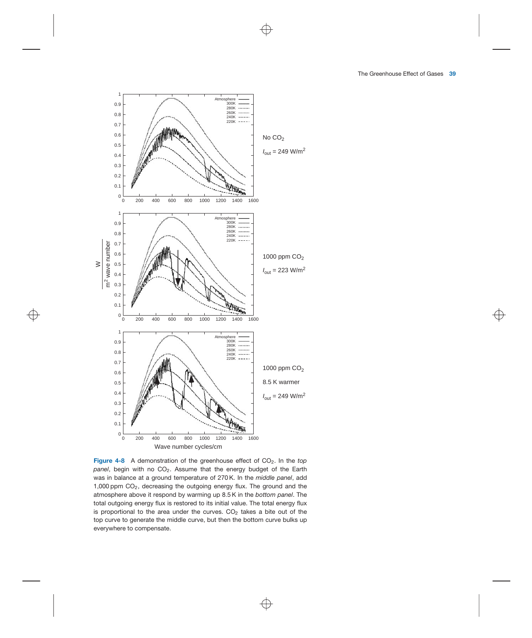

**Figure 4-8** A demonstration of the greenhouse effect of CO<sub>2</sub>. In the *top* panel, begin with no CO<sub>2</sub>. Assume that the energy budget of the Earth was in balance at a ground temperature of 270 K. In the *middle panel*, add 1,000 ppm CO2, decreasing the outgoing energy flux. The ground and the atmosphere above it respond by warming up 8*.*5 K in the *bottom panel*. The total outgoing energy flux is restored to its initial value. The total energy flux is proportional to the area under the curves.  $CO<sub>2</sub>$  takes a bite out of the top curve to generate the middle curve, but then the bottom curve bulks up everywhere to compensate.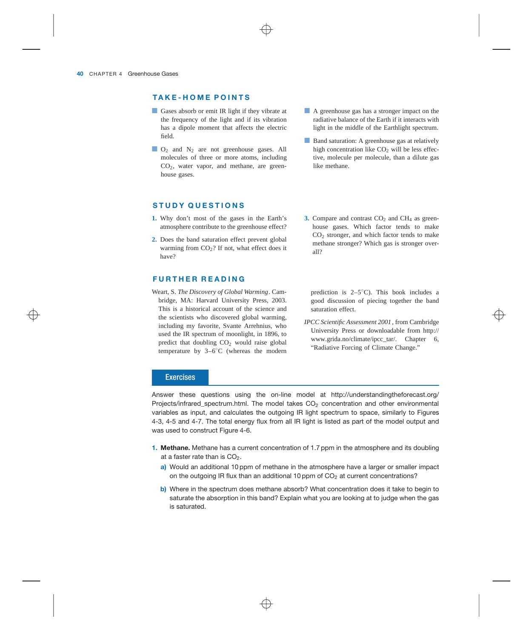#### **TAKE-HOME POINTS**

- Gases absorb or emit IR light if they vibrate at the frequency of the light and if its vibration has a dipole moment that affects the electric field.
- $\Box$  O<sub>2</sub> and N<sub>2</sub> are not greenhouse gases. All molecules of three or more atoms, including  $CO<sub>2</sub>$ , water vapor, and methane, are greenhouse gases.

#### **STUDY QUESTIONS**

- **1.** Why don't most of the gases in the Earth's atmosphere contribute to the greenhouse effect?
- **2.** Does the band saturation effect prevent global warming from  $CO<sub>2</sub>$ ? If not, what effect does it have?

#### **FURTHER READING**

Weart, S. *The Discovery of Global Warming*. Cambridge, MA: Harvard University Press, 2003. This is a historical account of the science and the scientists who discovered global warming, including my favorite, Svante Arrehnius, who used the IR spectrum of moonlight, in 1896, to predict that doubling  $CO<sub>2</sub>$  would raise global temperature by  $3-6°C$  (whereas the modern

- A greenhouse gas has a stronger impact on the radiative balance of the Earth if it interacts with light in the middle of the Earthlight spectrum.
- Band saturation: A greenhouse gas at relatively high concentration like  $CO<sub>2</sub>$  will be less effective, molecule per molecule, than a dilute gas like methane.
- **3.** Compare and contrast CO<sub>2</sub> and CH<sub>4</sub> as greenhouse gases. Which factor tends to make  $CO<sub>2</sub>$  stronger, and which factor tends to make methane stronger? Which gas is stronger overall?

prediction is  $2-5^\circ$ C). This book includes a good discussion of piecing together the band saturation effect.

*IPCC Scientific Assessment 2001* , from Cambridge University Press or downloadable from http:// www.grida.no/climate/ipcc\_tar/. Chapter 6, "Radiative Forcing of Climate Change."

#### Exercises

Answer these questions using the on-line model at http://understandingtheforecast.org/ Projects/infrared\_spectrum.html. The model takes  $CO<sub>2</sub>$  concentration and other environmental variables as input, and calculates the outgoing IR light spectrum to space, similarly to Figures 4-3, 4-5 and 4-7. The total energy flux from all IR light is listed as part of the model output and was used to construct Figure 4-6.

- **1. Methane.** Methane has a current concentration of 1.7 ppm in the atmosphere and its doubling at a faster rate than is  $CO<sub>2</sub>$ .
	- **a)** Would an additional 10 ppm of methane in the atmosphere have a larger or smaller impact on the outgoing IR flux than an additional 10 ppm of  $CO<sub>2</sub>$  at current concentrations?
	- **b)** Where in the spectrum does methane absorb? What concentration does it take to begin to saturate the absorption in this band? Explain what you are looking at to judge when the gas is saturated.